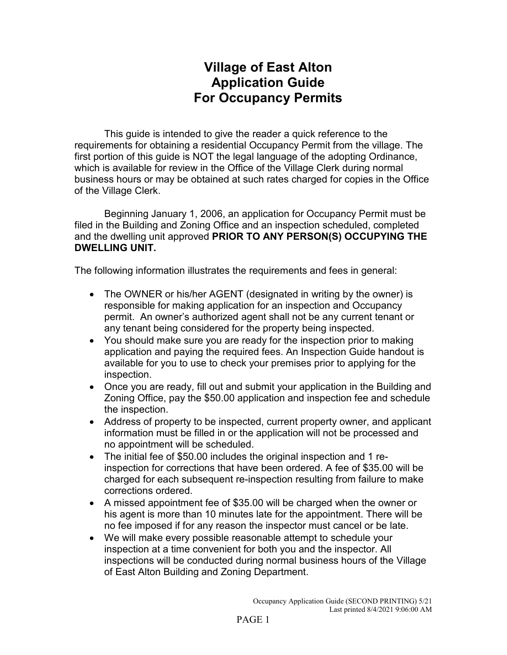## **Village of East Alton Application Guide For Occupancy Permits**

This guide is intended to give the reader a quick reference to the requirements for obtaining a residential Occupancy Permit from the village. The first portion of this guide is NOT the legal language of the adopting Ordinance, which is available for review in the Office of the Village Clerk during normal business hours or may be obtained at such rates charged for copies in the Office of the Village Clerk.

Beginning January 1, 2006, an application for Occupancy Permit must be filed in the Building and Zoning Office and an inspection scheduled, completed and the dwelling unit approved **PRIOR TO ANY PERSON(S) OCCUPYING THE DWELLING UNIT.**

The following information illustrates the requirements and fees in general:

- The OWNER or his/her AGENT (designated in writing by the owner) is responsible for making application for an inspection and Occupancy permit. An owner's authorized agent shall not be any current tenant or any tenant being considered for the property being inspected.
- You should make sure you are ready for the inspection prior to making application and paying the required fees. An Inspection Guide handout is available for you to use to check your premises prior to applying for the inspection.
- Once you are ready, fill out and submit your application in the Building and Zoning Office, pay the \$50.00 application and inspection fee and schedule the inspection.
- Address of property to be inspected, current property owner, and applicant information must be filled in or the application will not be processed and no appointment will be scheduled.
- The initial fee of \$50.00 includes the original inspection and 1 reinspection for corrections that have been ordered. A fee of \$35.00 will be charged for each subsequent re-inspection resulting from failure to make corrections ordered.
- A missed appointment fee of \$35.00 will be charged when the owner or his agent is more than 10 minutes late for the appointment. There will be no fee imposed if for any reason the inspector must cancel or be late.
- We will make every possible reasonable attempt to schedule your inspection at a time convenient for both you and the inspector. All inspections will be conducted during normal business hours of the Village of East Alton Building and Zoning Department.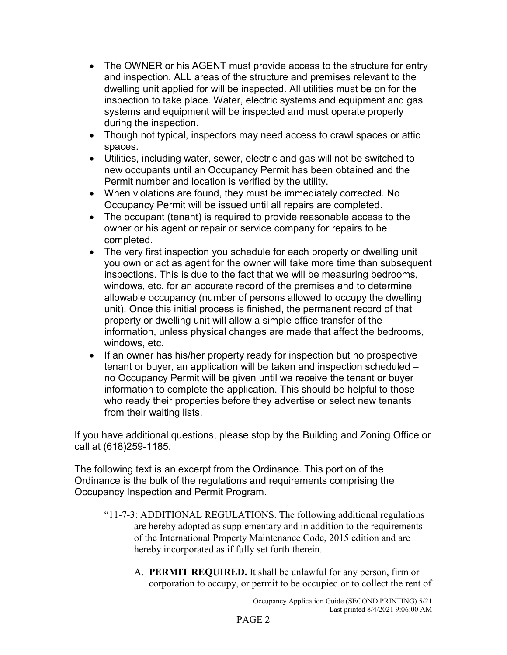- The OWNER or his AGENT must provide access to the structure for entry and inspection. ALL areas of the structure and premises relevant to the dwelling unit applied for will be inspected. All utilities must be on for the inspection to take place. Water, electric systems and equipment and gas systems and equipment will be inspected and must operate properly during the inspection.
- Though not typical, inspectors may need access to crawl spaces or attic spaces.
- Utilities, including water, sewer, electric and gas will not be switched to new occupants until an Occupancy Permit has been obtained and the Permit number and location is verified by the utility.
- When violations are found, they must be immediately corrected. No Occupancy Permit will be issued until all repairs are completed.
- The occupant (tenant) is required to provide reasonable access to the owner or his agent or repair or service company for repairs to be completed.
- The very first inspection you schedule for each property or dwelling unit you own or act as agent for the owner will take more time than subsequent inspections. This is due to the fact that we will be measuring bedrooms, windows, etc. for an accurate record of the premises and to determine allowable occupancy (number of persons allowed to occupy the dwelling unit). Once this initial process is finished, the permanent record of that property or dwelling unit will allow a simple office transfer of the information, unless physical changes are made that affect the bedrooms, windows, etc.
- If an owner has his/her property ready for inspection but no prospective tenant or buyer, an application will be taken and inspection scheduled – no Occupancy Permit will be given until we receive the tenant or buyer information to complete the application. This should be helpful to those who ready their properties before they advertise or select new tenants from their waiting lists.

If you have additional questions, please stop by the Building and Zoning Office or call at (618)259-1185.

The following text is an excerpt from the Ordinance. This portion of the Ordinance is the bulk of the regulations and requirements comprising the Occupancy Inspection and Permit Program.

- "11-7-3: ADDITIONAL REGULATIONS. The following additional regulations are hereby adopted as supplementary and in addition to the requirements of the International Property Maintenance Code, 2015 edition and are hereby incorporated as if fully set forth therein.
	- A. **PERMIT REQUIRED.** It shall be unlawful for any person, firm or corporation to occupy, or permit to be occupied or to collect the rent of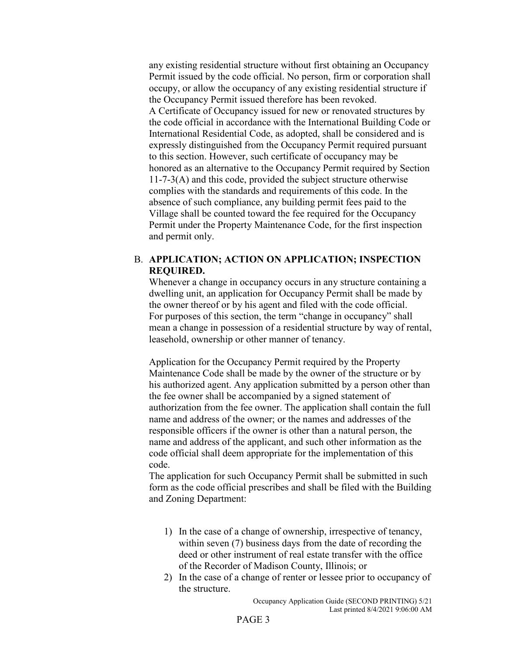any existing residential structure without first obtaining an Occupancy Permit issued by the code official. No person, firm or corporation shall occupy, or allow the occupancy of any existing residential structure if the Occupancy Permit issued therefore has been revoked. A Certificate of Occupancy issued for new or renovated structures by the code official in accordance with the International Building Code or International Residential Code, as adopted, shall be considered and is expressly distinguished from the Occupancy Permit required pursuant to this section. However, such certificate of occupancy may be honored as an alternative to the Occupancy Permit required by Section 11-7-3(A) and this code, provided the subject structure otherwise complies with the standards and requirements of this code. In the absence of such compliance, any building permit fees paid to the Village shall be counted toward the fee required for the Occupancy Permit under the Property Maintenance Code, for the first inspection and permit only.

## B. **APPLICATION; ACTION ON APPLICATION; INSPECTION REQUIRED.**

Whenever a change in occupancy occurs in any structure containing a dwelling unit, an application for Occupancy Permit shall be made by the owner thereof or by his agent and filed with the code official. For purposes of this section, the term "change in occupancy" shall mean a change in possession of a residential structure by way of rental, leasehold, ownership or other manner of tenancy.

Application for the Occupancy Permit required by the Property Maintenance Code shall be made by the owner of the structure or by his authorized agent. Any application submitted by a person other than the fee owner shall be accompanied by a signed statement of authorization from the fee owner. The application shall contain the full name and address of the owner; or the names and addresses of the responsible officers if the owner is other than a natural person, the name and address of the applicant, and such other information as the code official shall deem appropriate for the implementation of this code.

The application for such Occupancy Permit shall be submitted in such form as the code official prescribes and shall be filed with the Building and Zoning Department:

- 1) In the case of a change of ownership, irrespective of tenancy, within seven (7) business days from the date of recording the deed or other instrument of real estate transfer with the office of the Recorder of Madison County, Illinois; or
- 2) In the case of a change of renter or lessee prior to occupancy of the structure.

Occupancy Application Guide (SECOND PRINTING) 5/21 Last printed 8/4/2021 9:06:00 AM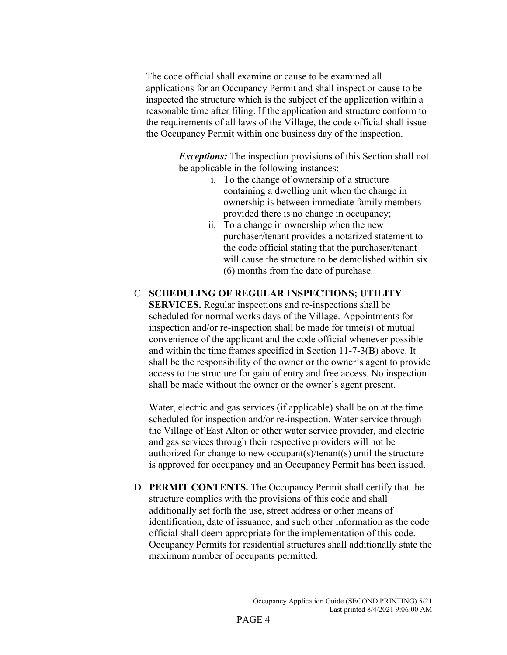The code official shall examine or cause to be examined all applications for an Occupancy Permit and shall inspect or cause to be inspected the structure which is the subject of the application within a reasonable time after filing. If the application and structure conform to the requirements of all laws of the Village, the code official shall issue the Occupancy Permit within one business day of the inspection.

> *Exceptions:* The inspection provisions of this Section shall not be applicable in the following instances:

- i. To the change of ownership of a structure containing a dwelling unit when the change in ownership is between immediate family members provided there is no change in occupancy;
- ii. To a change in ownership when the new purchaser/tenant provides a notarized statement to the code official stating that the purchaser/tenant will cause the structure to be demolished within six (6) months from the date of purchase.

## C. **SCHEDULING OF REGULAR INSPECTIONS; UTILITY**

**SERVICES.** Regular inspections and re-inspections shall be scheduled for normal works days of the Village. Appointments for inspection and/or re-inspection shall be made for time(s) of mutual convenience of the applicant and the code official whenever possible and within the time frames specified in Section 11-7-3(B) above. It shall be the responsibility of the owner or the owner's agent to provide access to the structure for gain of entry and free access. No inspection shall be made without the owner or the owner's agent present.

Water, electric and gas services (if applicable) shall be on at the time scheduled for inspection and/or re-inspection. Water service through the Village of East Alton or other water service provider, and electric and gas services through their respective providers will not be authorized for change to new occupant(s)/tenant(s) until the structure is approved for occupancy and an Occupancy Permit has been issued.

D. **PERMIT CONTENTS.** The Occupancy Permit shall certify that the structure complies with the provisions of this code and shall additionally set forth the use, street address or other means of identification, date of issuance, and such other information as the code official shall deem appropriate for the implementation of this code. Occupancy Permits for residential structures shall additionally state the maximum number of occupants permitted.